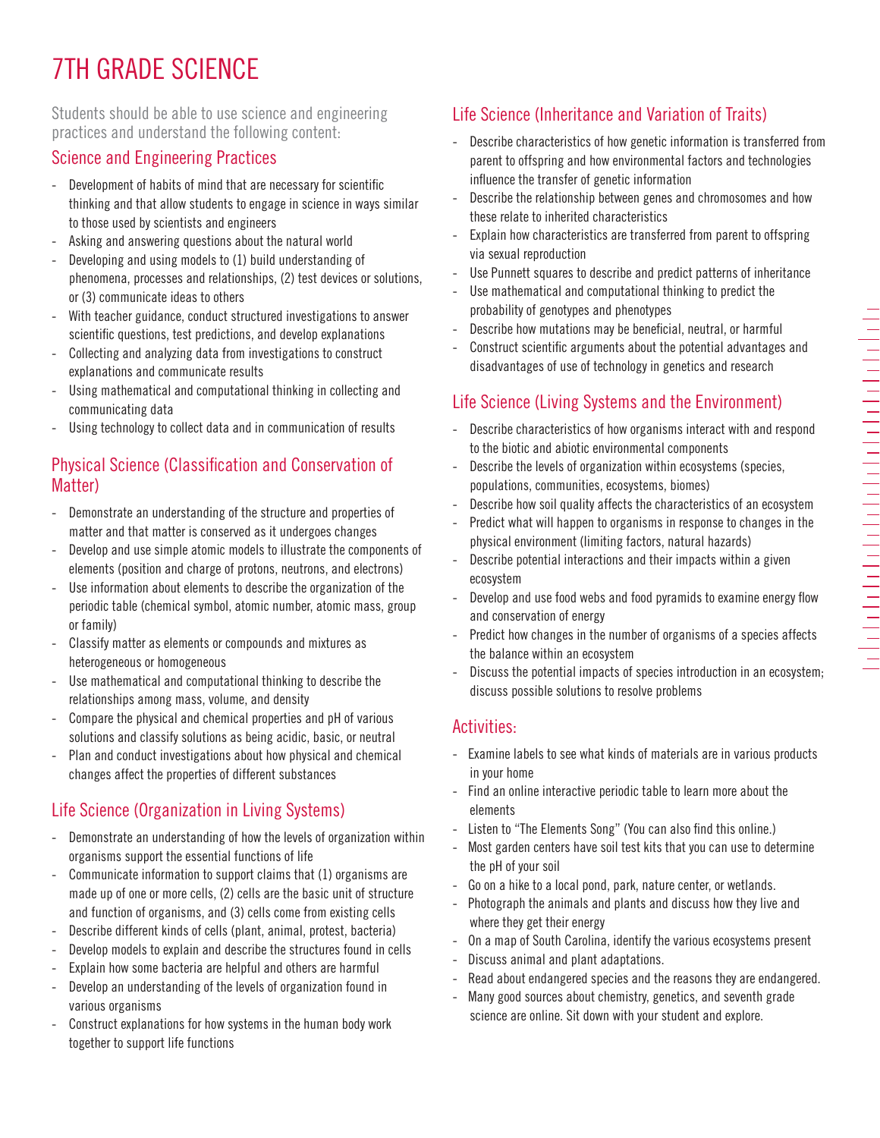# 7TH GRADE SCIENCE

Students should be able to use science and engineering practices and understand the following content:

### Science and Engineering Practices

- Development of habits of mind that are necessary for scientific thinking and that allow students to engage in science in ways similar to those used by scientists and engineers
- Asking and answering questions about the natural world
- Developing and using models to (1) build understanding of phenomena, processes and relationships, (2) test devices or solutions, or (3) communicate ideas to others
- With teacher guidance, conduct structured investigations to answer scientific questions, test predictions, and develop explanations
- Collecting and analyzing data from investigations to construct explanations and communicate results
- Using mathematical and computational thinking in collecting and communicating data
- Using technology to collect data and in communication of results

#### Physical Science (Classification and Conservation of Matter)

- Demonstrate an understanding of the structure and properties of matter and that matter is conserved as it undergoes changes
- Develop and use simple atomic models to illustrate the components of elements (position and charge of protons, neutrons, and electrons)
- Use information about elements to describe the organization of the periodic table (chemical symbol, atomic number, atomic mass, group or family)
- Classify matter as elements or compounds and mixtures as heterogeneous or homogeneous
- Use mathematical and computational thinking to describe the relationships among mass, volume, and density
- Compare the physical and chemical properties and pH of various solutions and classify solutions as being acidic, basic, or neutral
- Plan and conduct investigations about how physical and chemical changes affect the properties of different substances

## Life Science (Organization in Living Systems)

- Demonstrate an understanding of how the levels of organization within organisms support the essential functions of life
- Communicate information to support claims that (1) organisms are made up of one or more cells, (2) cells are the basic unit of structure and function of organisms, and (3) cells come from existing cells
- Describe different kinds of cells (plant, animal, protest, bacteria)
- Develop models to explain and describe the structures found in cells
- Explain how some bacteria are helpful and others are harmful
- Develop an understanding of the levels of organization found in various organisms
- Construct explanations for how systems in the human body work together to support life functions

## Life Science (Inheritance and Variation of Traits)

- Describe characteristics of how genetic information is transferred from parent to offspring and how environmental factors and technologies influence the transfer of genetic information
- Describe the relationship between genes and chromosomes and how these relate to inherited characteristics
- Explain how characteristics are transferred from parent to offspring via sexual reproduction
- Use Punnett squares to describe and predict patterns of inheritance
- Use mathematical and computational thinking to predict the probability of genotypes and phenotypes
- Describe how mutations may be beneficial, neutral, or harmful
- Construct scientific arguments about the potential advantages and disadvantages of use of technology in genetics and research

## Life Science (Living Systems and the Environment)

- Describe characteristics of how organisms interact with and respond to the biotic and abiotic environmental components
- Describe the levels of organization within ecosystems (species, populations, communities, ecosystems, biomes)
- Describe how soil quality affects the characteristics of an ecosystem
- Predict what will happen to organisms in response to changes in the physical environment (limiting factors, natural hazards)
- Describe potential interactions and their impacts within a given ecosystem
- Develop and use food webs and food pyramids to examine energy flow and conservation of energy
- Predict how changes in the number of organisms of a species affects the balance within an ecosystem
- Discuss the potential impacts of species introduction in an ecosystem; discuss possible solutions to resolve problems

### Activities:

- Examine labels to see what kinds of materials are in various products in your home
- Find an online interactive periodic table to learn more about the elements
- Listen to "The Elements Song" (You can also find this online.)
- Most garden centers have soil test kits that you can use to determine the pH of your soil
- Go on a hike to a local pond, park, nature center, or wetlands.
- Photograph the animals and plants and discuss how they live and where they get their energy
- On a map of South Carolina, identify the various ecosystems present
- Discuss animal and plant adaptations.
- Read about endangered species and the reasons they are endangered.
- Many good sources about chemistry, genetics, and seventh grade science are online. Sit down with your student and explore.